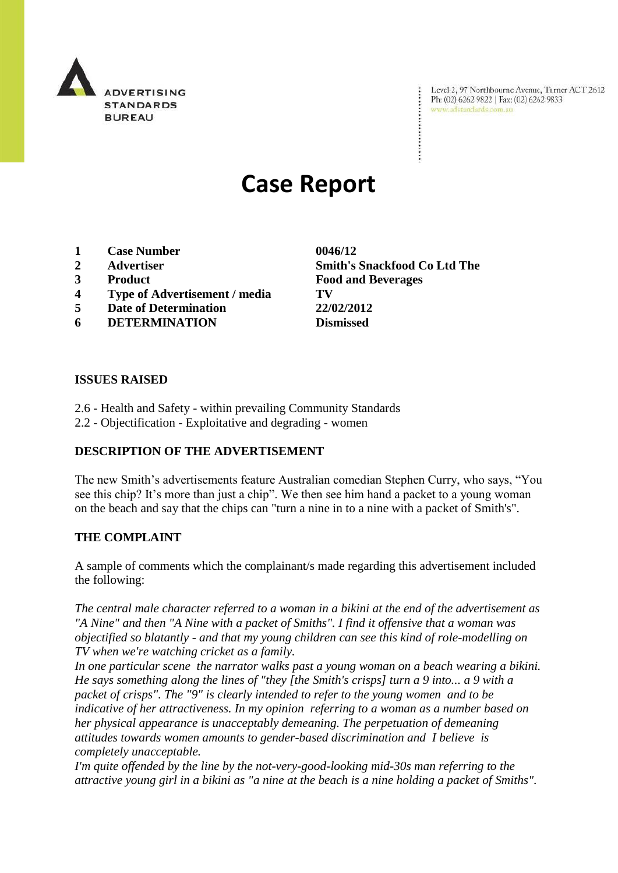

Level 2, 97 Northbourne Avenue, Turner ACT 2612 Level 2, 97 Northbourne Avenue, Turne<br>Ph: (02) 6262 9822 | Fax: (02) 6262 9833 www.adstandards.com.au

# **Case Report**

- **1 Case Number 0046/12**
- 
- 
- **4 Type of Advertisement / media TV**
- **5 Date of Determination 22/02/2012**
- **6 DETERMINATION Dismissed**

**2 Advertiser Smith's Snackfood Co Ltd The 3 Product Food and Beverages**

#### **ISSUES RAISED**

- 2.6 Health and Safety within prevailing Community Standards
- 2.2 Objectification Exploitative and degrading women

## **DESCRIPTION OF THE ADVERTISEMENT**

The new Smith's advertisements feature Australian comedian Stephen Curry, who says, "You see this chip? It's more than just a chip". We then see him hand a packet to a young woman on the beach and say that the chips can "turn a nine in to a nine with a packet of Smith's".

## **THE COMPLAINT**

A sample of comments which the complainant/s made regarding this advertisement included the following:

*The central male character referred to a woman in a bikini at the end of the advertisement as "A Nine" and then "A Nine with a packet of Smiths". I find it offensive that a woman was objectified so blatantly - and that my young children can see this kind of role-modelling on TV when we're watching cricket as a family.* 

*In one particular scene the narrator walks past a young woman on a beach wearing a bikini. He says something along the lines of "they [the Smith's crisps] turn a 9 into... a 9 with a packet of crisps". The "9" is clearly intended to refer to the young women and to be indicative of her attractiveness. In my opinion referring to a woman as a number based on her physical appearance is unacceptably demeaning. The perpetuation of demeaning attitudes towards women amounts to gender-based discrimination and I believe is completely unacceptable.*

*I'm quite offended by the line by the not-very-good-looking mid-30s man referring to the attractive young girl in a bikini as "a nine at the beach is a nine holding a packet of Smiths".*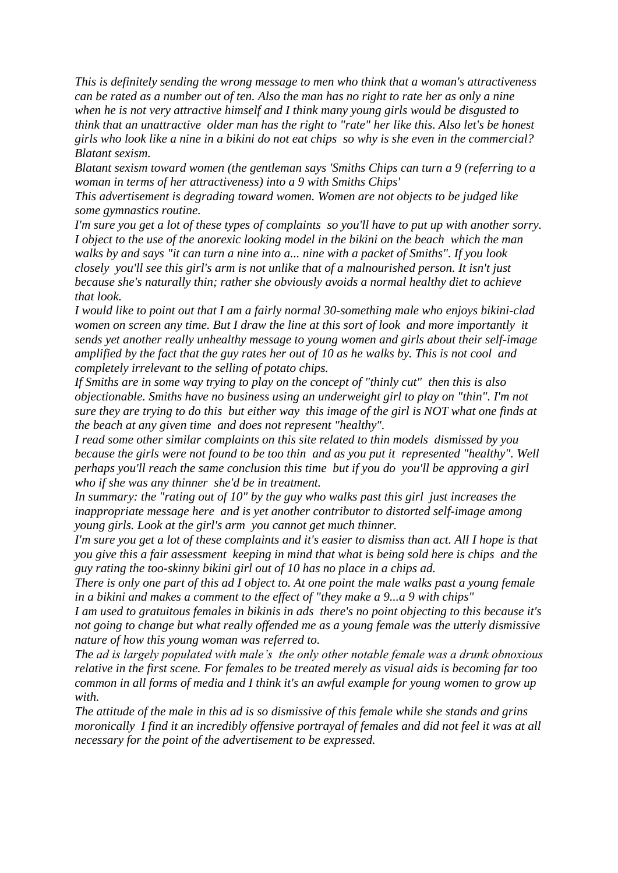*This is definitely sending the wrong message to men who think that a woman's attractiveness can be rated as a number out of ten. Also the man has no right to rate her as only a nine when he is not very attractive himself and I think many young girls would be disgusted to think that an unattractive older man has the right to "rate" her like this. Also let's be honest girls who look like a nine in a bikini do not eat chips so why is she even in the commercial? Blatant sexism.* 

*Blatant sexism toward women (the gentleman says 'Smiths Chips can turn a 9 (referring to a woman in terms of her attractiveness) into a 9 with Smiths Chips'* 

*This advertisement is degrading toward women. Women are not objects to be judged like some gymnastics routine.* 

*I'm sure you get a lot of these types of complaints so you'll have to put up with another sorry. I object to the use of the anorexic looking model in the bikini on the beach which the man walks by and says "it can turn a nine into a... nine with a packet of Smiths". If you look closely you'll see this girl's arm is not unlike that of a malnourished person. It isn't just because she's naturally thin; rather she obviously avoids a normal healthy diet to achieve that look.* 

*I would like to point out that I am a fairly normal 30-something male who enjoys bikini-clad women on screen any time. But I draw the line at this sort of look and more importantly it sends yet another really unhealthy message to young women and girls about their self-image amplified by the fact that the guy rates her out of 10 as he walks by. This is not cool and completely irrelevant to the selling of potato chips.* 

*If Smiths are in some way trying to play on the concept of "thinly cut" then this is also objectionable. Smiths have no business using an underweight girl to play on "thin". I'm not sure they are trying to do this but either way this image of the girl is NOT what one finds at the beach at any given time and does not represent "healthy".* 

*I read some other similar complaints on this site related to thin models dismissed by you because the girls were not found to be too thin and as you put it represented "healthy". Well perhaps you'll reach the same conclusion this time but if you do you'll be approving a girl who if she was any thinner she'd be in treatment.* 

*In summary: the "rating out of 10" by the guy who walks past this girl just increases the inappropriate message here and is yet another contributor to distorted self-image among young girls. Look at the girl's arm you cannot get much thinner.* 

*I'm sure you get a lot of these complaints and it's easier to dismiss than act. All I hope is that you give this a fair assessment keeping in mind that what is being sold here is chips and the guy rating the too-skinny bikini girl out of 10 has no place in a chips ad.*

*There is only one part of this ad I object to. At one point the male walks past a young female in a bikini and makes a comment to the effect of "they make a 9...a 9 with chips"*

*I am used to gratuitous females in bikinis in ads there's no point objecting to this because it's not going to change but what really offended me as a young female was the utterly dismissive nature of how this young woman was referred to.*

*The ad is largely populated with male"s the only other notable female was a drunk obnoxious relative in the first scene. For females to be treated merely as visual aids is becoming far too common in all forms of media and I think it's an awful example for young women to grow up with.*

*The attitude of the male in this ad is so dismissive of this female while she stands and grins moronically I find it an incredibly offensive portrayal of females and did not feel it was at all necessary for the point of the advertisement to be expressed.*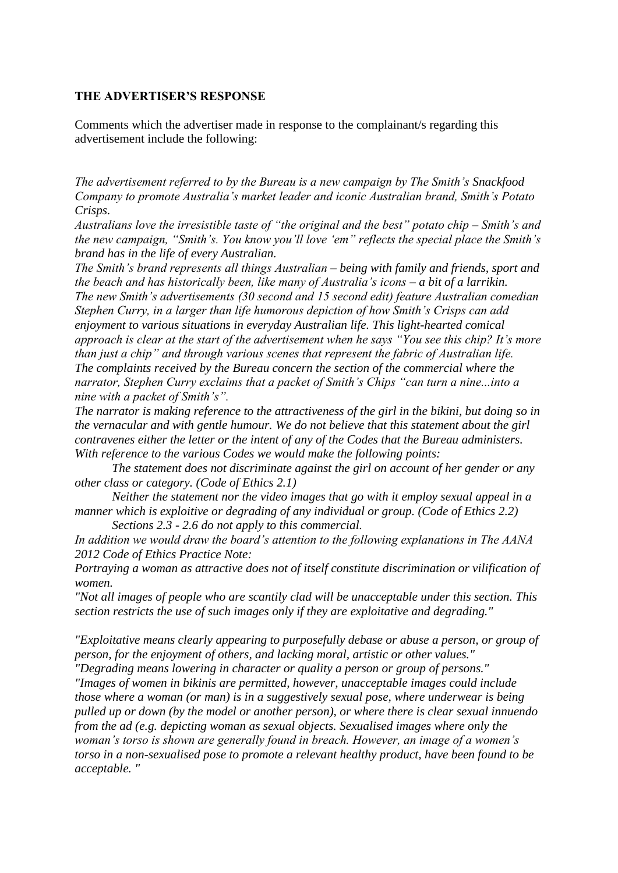#### **THE ADVERTISER'S RESPONSE**

Comments which the advertiser made in response to the complainant/s regarding this advertisement include the following:

*The advertisement referred to by the Bureau is a new campaign by The Smith"s Snackfood Company to promote Australia"s market leader and iconic Australian brand, Smith"s Potato Crisps.* 

*Australians love the irresistible taste of "the original and the best" potato chip – Smith"s and the new campaign, "Smith"s. You know you"ll love "em" reflects the special place the Smith"s brand has in the life of every Australian.*

*The Smith"s brand represents all things Australian – being with family and friends, sport and the beach and has historically been, like many of Australia"s icons – a bit of a larrikin. The new Smith"s advertisements (30 second and 15 second edit) feature Australian comedian Stephen Curry, in a larger than life humorous depiction of how Smith"s Crisps can add enjoyment to various situations in everyday Australian life. This light-hearted comical approach is clear at the start of the advertisement when he says "You see this chip? It"s more than just a chip" and through various scenes that represent the fabric of Australian life. The complaints received by the Bureau concern the section of the commercial where the narrator, Stephen Curry exclaims that a packet of Smith"s Chips "can turn a nine...into a nine with a packet of Smith"s".* 

*The narrator is making reference to the attractiveness of the girl in the bikini, but doing so in the vernacular and with gentle humour. We do not believe that this statement about the girl contravenes either the letter or the intent of any of the Codes that the Bureau administers. With reference to the various Codes we would make the following points:*

*The statement does not discriminate against the girl on account of her gender or any other class or category. (Code of Ethics 2.1)* 

*Neither the statement nor the video images that go with it employ sexual appeal in a manner which is exploitive or degrading of any individual or group. (Code of Ethics 2.2)*

*Sections 2.3 - 2.6 do not apply to this commercial.*

*In addition we would draw the board"s attention to the following explanations in The AANA 2012 Code of Ethics Practice Note:*

*Portraying a woman as attractive does not of itself constitute discrimination or vilification of women.*

*"Not all images of people who are scantily clad will be unacceptable under this section. This section restricts the use of such images only if they are exploitative and degrading."*

*"Exploitative means clearly appearing to purposefully debase or abuse a person, or group of person, for the enjoyment of others, and lacking moral, artistic or other values."*

*"Degrading means lowering in character or quality a person or group of persons." "Images of women in bikinis are permitted, however, unacceptable images could include those where a woman (or man) is in a suggestively sexual pose, where underwear is being pulled up or down (by the model or another person), or where there is clear sexual innuendo from the ad (e.g. depicting woman as sexual objects. Sexualised images where only the woman"s torso is shown are generally found in breach. However, an image of a women"s torso in a non-sexualised pose to promote a relevant healthy product, have been found to be acceptable. "*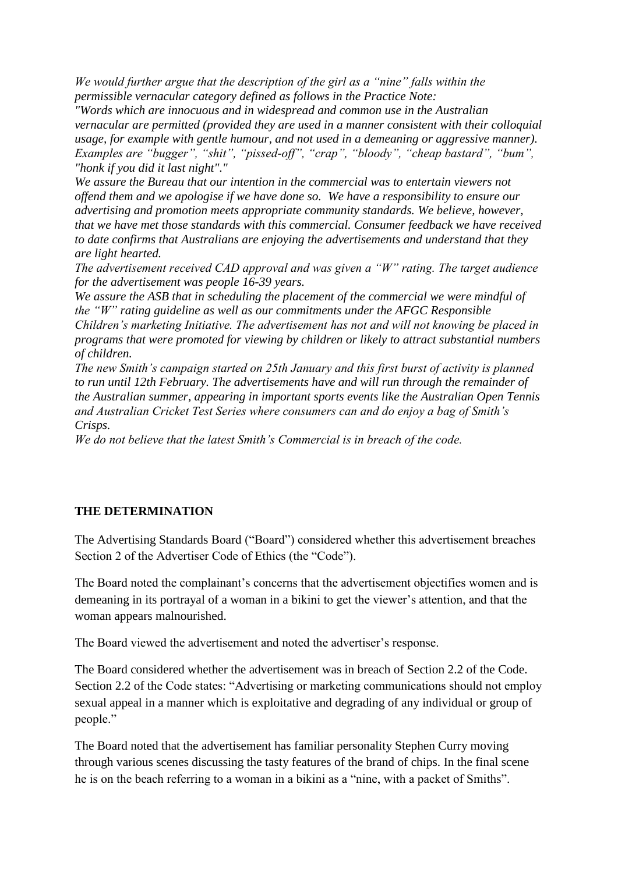*We would further argue that the description of the girl as a "nine" falls within the permissible vernacular category defined as follows in the Practice Note:*

*"Words which are innocuous and in widespread and common use in the Australian vernacular are permitted (provided they are used in a manner consistent with their colloquial usage, for example with gentle humour, and not used in a demeaning or aggressive manner). Examples are "bugger", "shit", "pissed-off", "crap", "bloody", "cheap bastard", "bum", "honk if you did it last night"."*

*We assure the Bureau that our intention in the commercial was to entertain viewers not offend them and we apologise if we have done so. We have a responsibility to ensure our advertising and promotion meets appropriate community standards. We believe, however, that we have met those standards with this commercial. Consumer feedback we have received to date confirms that Australians are enjoying the advertisements and understand that they are light hearted.* 

*The advertisement received CAD approval and was given a "W" rating. The target audience for the advertisement was people 16-39 years.*

*We assure the ASB that in scheduling the placement of the commercial we were mindful of the "W" rating guideline as well as our commitments under the AFGC Responsible Children"s marketing Initiative. The advertisement has not and will not knowing be placed in programs that were promoted for viewing by children or likely to attract substantial numbers of children.* 

*The new Smith"s campaign started on 25th January and this first burst of activity is planned to run until 12th February. The advertisements have and will run through the remainder of the Australian summer, appearing in important sports events like the Australian Open Tennis and Australian Cricket Test Series where consumers can and do enjoy a bag of Smith"s Crisps.* 

*We do not believe that the latest Smith"s Commercial is in breach of the code.*

## **THE DETERMINATION**

The Advertising Standards Board ("Board") considered whether this advertisement breaches Section 2 of the Advertiser Code of Ethics (the "Code").

The Board noted the complainant's concerns that the advertisement objectifies women and is demeaning in its portrayal of a woman in a bikini to get the viewer's attention, and that the woman appears malnourished.

The Board viewed the advertisement and noted the advertiser's response.

The Board considered whether the advertisement was in breach of Section 2.2 of the Code. Section 2.2 of the Code states: "Advertising or marketing communications should not employ sexual appeal in a manner which is exploitative and degrading of any individual or group of people."

The Board noted that the advertisement has familiar personality Stephen Curry moving through various scenes discussing the tasty features of the brand of chips. In the final scene he is on the beach referring to a woman in a bikini as a "nine, with a packet of Smiths".